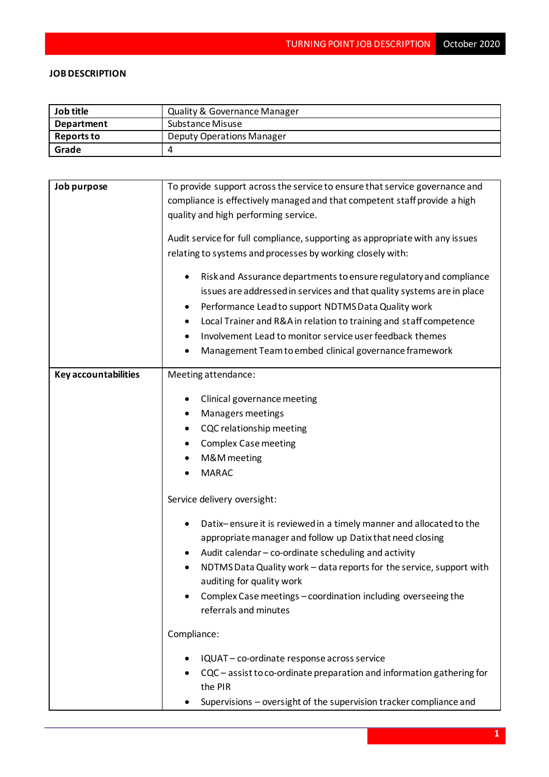## **JOB DESCRIPTION**

| Job title         | Quality & Governance Manager |
|-------------------|------------------------------|
| <b>Department</b> | Substance Misuse             |
| <b>Reports to</b> | Deputy Operations Manager    |
| Grade             |                              |

| Job purpose                 | To provide support across the service to ensure that service governance and      |  |  |
|-----------------------------|----------------------------------------------------------------------------------|--|--|
|                             | compliance is effectively managed and that competent staff provide a high        |  |  |
|                             | quality and high performing service.                                             |  |  |
|                             |                                                                                  |  |  |
|                             | Audit service for full compliance, supporting as appropriate with any issues     |  |  |
|                             | relating to systems and processes by working closely with:                       |  |  |
|                             |                                                                                  |  |  |
|                             | Risk and Assurance departments to ensure regulatory and compliance               |  |  |
|                             | issues are addressed in services and that quality systems are in place           |  |  |
|                             | Performance Lead to support NDTMS Data Quality work                              |  |  |
|                             | Local Trainer and R&A in relation to training and staff competence               |  |  |
|                             |                                                                                  |  |  |
|                             | Involvement Lead to monitor service user feedback themes                         |  |  |
|                             | Management Team to embed clinical governance framework                           |  |  |
| <b>Key accountabilities</b> | Meeting attendance:                                                              |  |  |
|                             |                                                                                  |  |  |
|                             | Clinical governance meeting                                                      |  |  |
|                             | Managers meetings                                                                |  |  |
|                             | CQC relationship meeting                                                         |  |  |
|                             | <b>Complex Case meeting</b>                                                      |  |  |
|                             |                                                                                  |  |  |
|                             | M&M meeting                                                                      |  |  |
|                             | <b>MARAC</b>                                                                     |  |  |
|                             | Service delivery oversight:                                                      |  |  |
|                             |                                                                                  |  |  |
|                             | Datix-ensure it is reviewed in a timely manner and allocated to the              |  |  |
|                             | appropriate manager and follow up Datix that need closing                        |  |  |
|                             | Audit calendar - co-ordinate scheduling and activity                             |  |  |
|                             | NDTMS Data Quality work - data reports for the service, support with             |  |  |
|                             | auditing for quality work                                                        |  |  |
|                             | Complex Case meetings - coordination including overseeing the                    |  |  |
|                             | referrals and minutes                                                            |  |  |
|                             | Compliance:                                                                      |  |  |
|                             | IQUAT - co-ordinate response across service                                      |  |  |
|                             |                                                                                  |  |  |
|                             | CQC – assist to co-ordinate preparation and information gathering for<br>the PIR |  |  |
|                             | Supervisions - oversight of the supervision tracker compliance and               |  |  |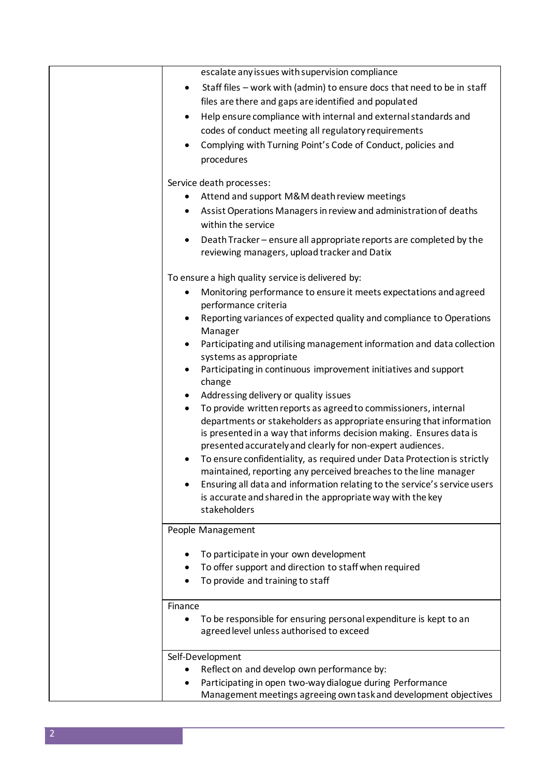| escalate any issues with supervision compliance                                           |
|-------------------------------------------------------------------------------------------|
| Staff files - work with (admin) to ensure docs that need to be in staff<br>$\bullet$      |
| files are there and gaps are identified and populated                                     |
| Help ensure compliance with internal and external standards and<br>$\bullet$              |
| codes of conduct meeting all regulatory requirements                                      |
| Complying with Turning Point's Code of Conduct, policies and                              |
| procedures                                                                                |
| Service death processes:                                                                  |
| Attend and support M&M death review meetings                                              |
| Assist Operations Managers in review and administration of deaths                         |
| within the service                                                                        |
| Death Tracker – ensure all appropriate reports are completed by the                       |
| reviewing managers, upload tracker and Datix                                              |
| To ensure a high quality service is delivered by:                                         |
| Monitoring performance to ensure it meets expectations and agreed<br>٠                    |
| performance criteria                                                                      |
| Reporting variances of expected quality and compliance to Operations<br>٠                 |
| Manager                                                                                   |
| Participating and utilising management information and data collection                    |
| systems as appropriate                                                                    |
| Participating in continuous improvement initiatives and support<br>٠<br>change            |
| Addressing delivery or quality issues<br>٠                                                |
| To provide written reports as agreed to commissioners, internal<br>٠                      |
| departments or stakeholders as appropriate ensuring that information                      |
| is presented in a way that informs decision making. Ensures data is                       |
| presented accurately and clearly for non-expert audiences.                                |
| To ensure confidentiality, as required under Data Protection is strictly<br>$\bullet$     |
| maintained, reporting any perceived breaches to the line manager                          |
| Ensuring all data and information relating to the service's service users                 |
| is accurate and shared in the appropriate way with the key<br>stakeholders                |
|                                                                                           |
| People Management                                                                         |
| To participate in your own development                                                    |
| To offer support and direction to staff when required                                     |
| To provide and training to staff                                                          |
|                                                                                           |
| Finance<br>To be responsible for ensuring personal expenditure is kept to an<br>$\bullet$ |
| agreed level unless authorised to exceed                                                  |
|                                                                                           |
| Self-Development                                                                          |
| Reflect on and develop own performance by:                                                |
| Participating in open two-way dialogue during Performance                                 |
| Management meetings agreeing own task and development objectives                          |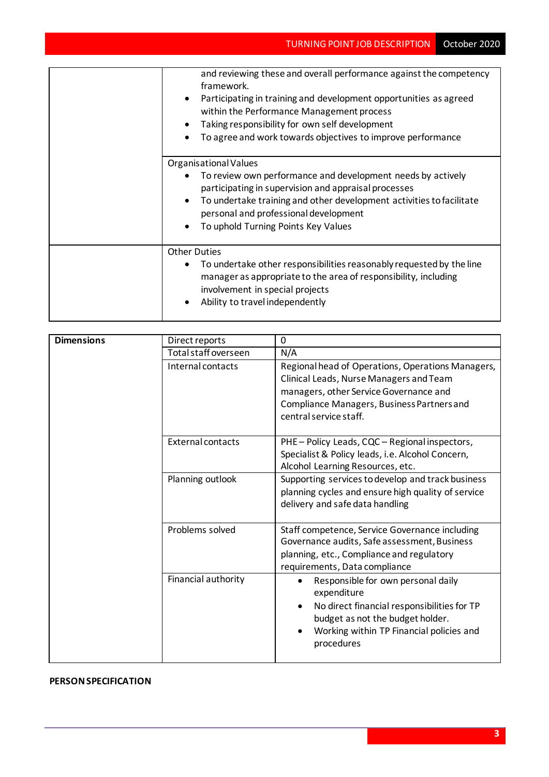| and reviewing these and overall performance against the competency<br>framework.<br>Participating in training and development opportunities as agreed<br>$\bullet$<br>within the Performance Management process<br>Taking responsibility for own self development<br>To agree and work towards objectives to improve performance |
|----------------------------------------------------------------------------------------------------------------------------------------------------------------------------------------------------------------------------------------------------------------------------------------------------------------------------------|
| Organisational Values<br>To review own performance and development needs by actively<br>participating in supervision and appraisal processes<br>To undertake training and other development activities to facilitate<br>$\bullet$<br>personal and professional development<br>To uphold Turning Points Key Values                |
| <b>Other Duties</b><br>To undertake other responsibilities reasonably requested by the line<br>manager as appropriate to the area of responsibility, including<br>involvement in special projects<br>Ability to travel independently                                                                                             |

| <b>Dimensions</b> | Direct reports           | 0                                                                                                                                                                                                                        |
|-------------------|--------------------------|--------------------------------------------------------------------------------------------------------------------------------------------------------------------------------------------------------------------------|
|                   | Total staff overseen     | N/A                                                                                                                                                                                                                      |
|                   | Internal contacts        | Regional head of Operations, Operations Managers,<br>Clinical Leads, Nurse Managers and Team<br>managers, other Service Governance and<br>Compliance Managers, Business Partners and<br>central service staff.           |
|                   | <b>External contacts</b> | PHE-Policy Leads, CQC-Regional inspectors,<br>Specialist & Policy leads, i.e. Alcohol Concern,<br>Alcohol Learning Resources, etc.                                                                                       |
|                   | Planning outlook         | Supporting services to develop and track business<br>planning cycles and ensure high quality of service<br>delivery and safe data handling                                                                               |
|                   | Problems solved          | Staff competence, Service Governance including<br>Governance audits, Safe assessment, Business<br>planning, etc., Compliance and regulatory<br>requirements, Data compliance                                             |
|                   | Financial authority      | Responsible for own personal daily<br>$\bullet$<br>expenditure<br>No direct financial responsibilities for TP<br>$\bullet$<br>budget as not the budget holder.<br>Working within TP Financial policies and<br>procedures |

## **PERSON SPECIFICATION**